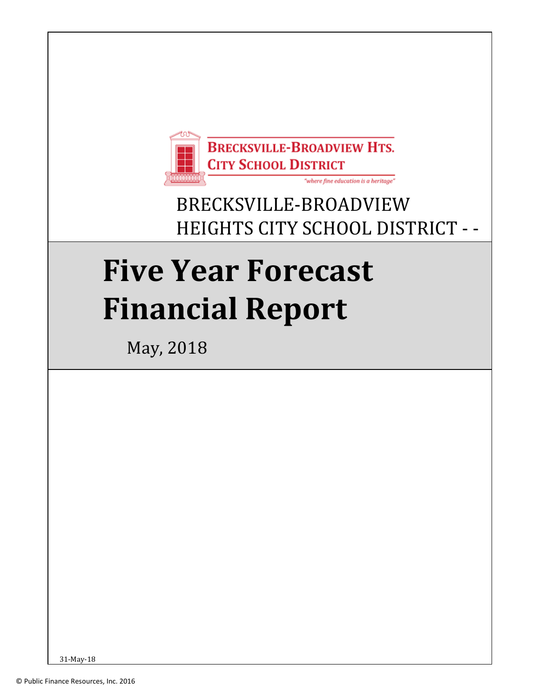

# BRECKSVILLE-BROADVIEW HEIGHTS CITY SCHOOL DISTRICT - -

# CUYAHOGA COUNTY **Five Year Forecast Financial Report**

May, 2018

31-May-18 1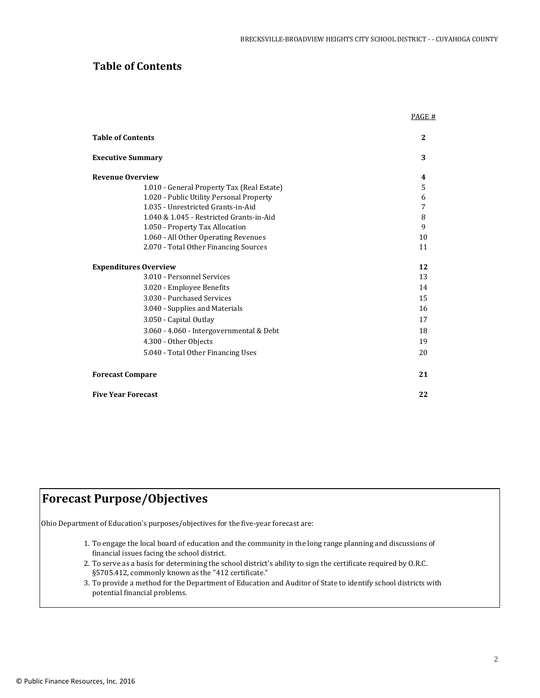PAGE #

# **Table of Contents**

| <b>Table of Contents</b>                   | 2  |
|--------------------------------------------|----|
| <b>Executive Summary</b>                   | 3  |
| <b>Revenue Overview</b>                    | 4  |
| 1.010 - General Property Tax (Real Estate) | 5  |
| 1.020 - Public Utility Personal Property   | 6  |
| 1.035 - Unrestricted Grants-in-Aid         | 7  |
| 1.040 & 1.045 - Restricted Grants-in-Aid   | 8  |
| 1.050 - Property Tax Allocation            | 9  |
| 1.060 - All Other Operating Revenues       | 10 |
| 2.070 - Total Other Financing Sources      | 11 |
| <b>Expenditures Overview</b>               | 12 |
| 3.010 - Personnel Services                 | 13 |
| 3.020 - Employee Benefits                  | 14 |
| 3.030 - Purchased Services                 | 15 |
| 3.040 - Supplies and Materials             | 16 |
| 3.050 - Capital Outlay                     | 17 |
| 3.060 - 4.060 - Intergovernmental & Debt   | 18 |
| 4.300 - Other Objects                      | 19 |
| 5.040 - Total Other Financing Uses         | 20 |
| <b>Forecast Compare</b>                    | 21 |
| <b>Five Year Forecast</b>                  | 22 |

# **Forecast Purpose/Objectives**

Ohio Department of Education's purposes/objectives for the five-year forecast are:

- 1. To engage the local board of education and the community in the long range planning and discussions of financial issues facing the school district.
- 2. To serve as a basis for determining the school district's ability to sign the certificate required by O.R.C. §5705.412, commonly known as the "412 certificate."
- 3. To provide a method for the Department of Education and Auditor of State to identify school districts with potential financial problems.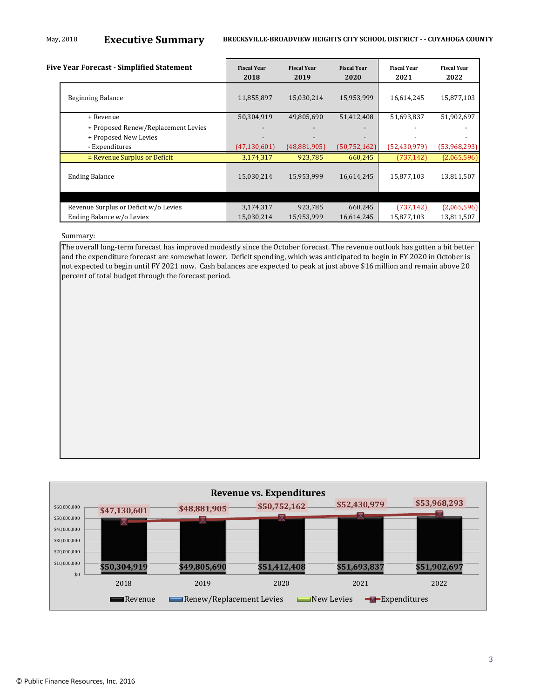# May, 2018 **Executive Summary BRECKSVILLE-BROADVIEW HEIGHTS CITY SCHOOL DISTRICT - - CUYAHOGA COUNTY**

|  | Five Year Forecast - Simplified Statement | <b>Fiscal Year</b><br>2018 | <b>Fiscal Year</b><br>2019 | <b>Fiscal Year</b><br>2020 | <b>Fiscal Year</b><br>2021 | <b>Fiscal Year</b><br>2022 |
|--|-------------------------------------------|----------------------------|----------------------------|----------------------------|----------------------------|----------------------------|
|  | <b>Beginning Balance</b>                  | 11,855,897                 | 15,030,214                 | 15,953,999                 | 16,614,245                 | 15,877,103                 |
|  | + Revenue                                 | 50,304,919                 | 49,805,690                 | 51,412,408                 | 51,693,837                 | 51,902,697                 |
|  | + Proposed Renew/Replacement Levies       |                            |                            |                            |                            |                            |
|  | + Proposed New Levies                     |                            |                            |                            |                            |                            |
|  | - Expenditures                            | (47, 130, 601)             | (48, 881, 905)             | (50, 752, 162)             | (52, 430, 979)             | (53,968,293)               |
|  | = Revenue Surplus or Deficit              | 3,174,317                  | 923,785                    | 660,245                    | (737, 142)                 | (2,065,596)                |
|  | <b>Ending Balance</b>                     | 15,030,214                 | 15,953,999                 | 16,614,245                 | 15,877,103                 | 13,811,507                 |
|  |                                           |                            |                            |                            |                            |                            |
|  | Revenue Surplus or Deficit w/o Levies     | 3,174,317                  | 923,785                    | 660,245                    | (737, 142)                 | (2,065,596)                |
|  | Ending Balance w/o Levies                 | 15,030,214                 | 15,953,999                 | 16,614,245                 | 15,877,103                 | 13,811,507                 |

Summary:

The overall long-term forecast has improved modestly since the October forecast. The revenue outlook has gotten a bit better and the expenditure forecast are somewhat lower. Deficit spending, which was anticipated to begin in FY 2020 in October is not expected to begin until FY 2021 now. Cash balances are expected to peak at just above \$16 million and remain above 20 percent of total budget through the forecast period.

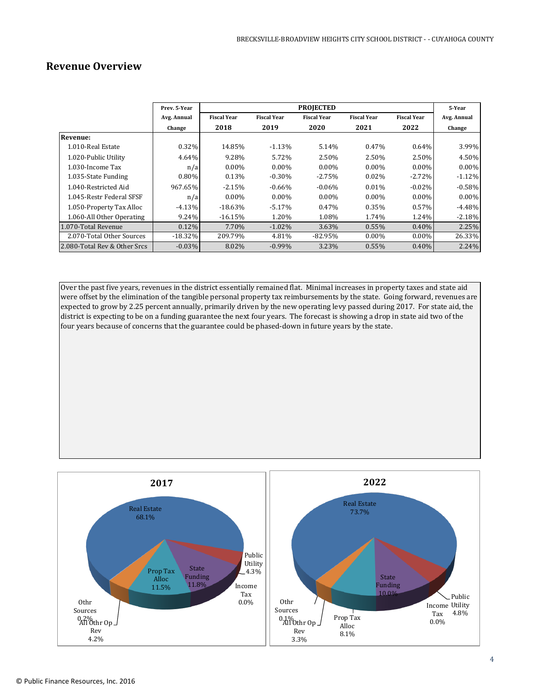# **Revenue Overview**

|                              | Prev. 5-Year |                    |                    | <b>PROJECTED</b>   |                    |                    | 5-Year      |
|------------------------------|--------------|--------------------|--------------------|--------------------|--------------------|--------------------|-------------|
|                              | Avg. Annual  | <b>Fiscal Year</b> | <b>Fiscal Year</b> | <b>Fiscal Year</b> | <b>Fiscal Year</b> | <b>Fiscal Year</b> | Avg. Annual |
|                              | Change       | 2018               | 2019               | 2020               | 2021               | 2022               | Change      |
| <b>Revenue:</b>              |              |                    |                    |                    |                    |                    |             |
| 1.010-Real Estate            | 0.32%        | 14.85%             | $-1.13%$           | 5.14%              | 0.47%              | 0.64%              | 3.99%       |
| 1.020-Public Utility         | 4.64%        | 9.28%              | 5.72%              | 2.50%              | 2.50%              | 2.50%              | 4.50%       |
| 1.030-Income Tax             | n/a          | $0.00\%$           | $0.00\%$           | $0.00\%$           | $0.00\%$           | $0.00\%$           | $0.00\%$    |
| 1.035-State Funding          | 0.80%        | 0.13%              | $-0.30\%$          | $-2.75%$           | 0.02%              | $-2.72%$           | $-1.12%$    |
| 1.040-Restricted Aid         | 967.65%      | $-2.15%$           | $-0.66\%$          | $-0.06%$           | 0.01%              | $-0.02%$           | $-0.58%$    |
| 1.045-Restr Federal SFSF     | n/a          | $0.00\%$           | $0.00\%$           | $0.00\%$           | $0.00\%$           | $0.00\%$           | $0.00\%$    |
| 1.050-Property Tax Alloc     | $-4.13%$     | $-18.63%$          | $-5.17\%$          | 0.47%              | 0.35%              | 0.57%              | $-4.48\%$   |
| 1.060-All Other Operating    | 9.24%        | $-16.15%$          | 1.20%              | 1.08%              | 1.74%              | 1.24%              | $-2.18%$    |
| 1.070-Total Revenue          | 0.12%        | 7.70%              | $-1.02\%$          | 3.63%              | $0.55\%$           | 0.40%              | 2.25%       |
| 2.070-Total Other Sources    | $-18.32%$    | 209.79%            | 4.81%              | $-82.95\%$         | $0.00\%$           | $0.00\%$           | 26.33%      |
| 2.080-Total Rev & Other Srcs | $-0.03%$     | 8.02%              | $-0.99\%$          | 3.23%              | $0.55\%$           | 0.40%              | 2.24%       |

Over the past five years, revenues in the district essentially remained flat. Minimal increases in property taxes and state aid were offset by the elimination of the tangible personal property tax reimbursements by the state. Going forward, revenues are expected to grow by 2.25 percent annually, primarily driven by the new operating levy passed during 2017. For state aid, the district is expecting to be on a funding guarantee the next four years. The forecast is showing a drop in state aid two of the four years because of concerns that the guarantee could be phased-down in future years by the state.

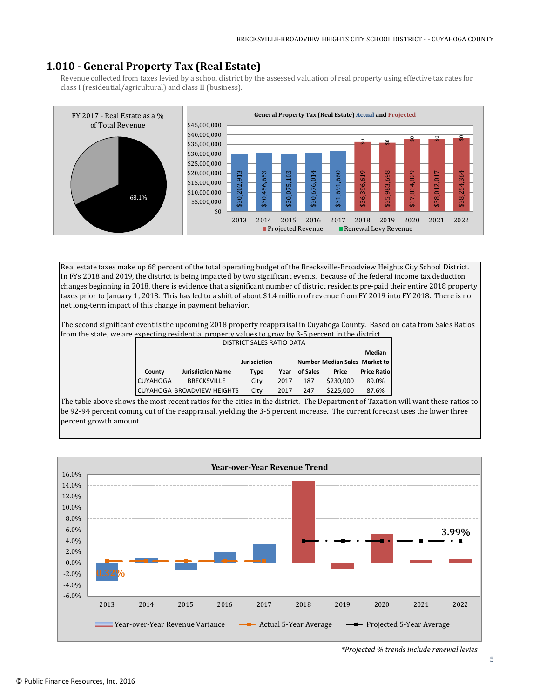# **1.010 - General Property Tax (Real Estate)**

Revenue collected from taxes levied by a school district by the assessed valuation of real property using effective tax rates for class I (residential/agricultural) and class II (business).



Real estate taxes make up 68 percent of the total operating budget of the Brecksville-Broadview Heights City School District. In FYs 2018 and 2019, the district is being impacted by two significant events. Because of the federal income tax deduction changes beginning in 2018, there is evidence that a significant number of district residents pre-paid their entire 2018 property taxes prior to January 1, 2018. This has led to a shift of about \$1.4 million of revenue from FY 2019 into FY 2018. There is no net long-term impact of this change in payment behavior.

The second significant event is the upcoming 2018 property reappraisal in Cuyahoga County. Based on data from Sales Ratios from the state, we are expecting residential property values to grow by 3-5 percent in the district.

| <b>DISTRICT SALES RATIO DATA</b>                     |                            |      |      |          |           |                    |  |
|------------------------------------------------------|----------------------------|------|------|----------|-----------|--------------------|--|
| Median                                               |                            |      |      |          |           |                    |  |
| <b>Jurisdiction</b><br>Number Median Sales Market to |                            |      |      |          |           |                    |  |
| County                                               | <b>Jurisdiction Name</b>   | Type | Year | of Sales | Price     | <b>Price Ratio</b> |  |
| <b>CUYAHOGA</b>                                      | <b>BRECKSVILLE</b>         | City | 2017 | 187      | \$230,000 | 89.0%              |  |
|                                                      | CUYAHOGA BROADVIEW HEIGHTS | City | 2017 | 247      | \$225,000 | 87.6%              |  |

The table above shows the most recent ratios for the cities in the district. The Department of Taxation will want these ratios to be 92-94 percent coming out of the reappraisal, yielding the 3-5 percent increase. The current forecast uses the lower three percent growth amount.



*\*Projected % trends include renewal levies*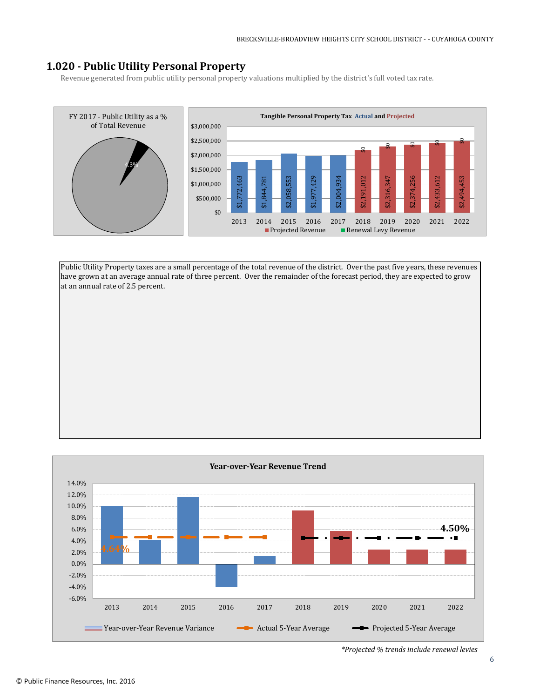# **1.020 - Public Utility Personal Property**

Revenue generated from public utility personal property valuations multiplied by the district's full voted tax rate.



Public Utility Property taxes are a small percentage of the total revenue of the district. Over the past five years, these revenues have grown at an average annual rate of three percent. Over the remainder of the forecast period, they are expected to grow at an annual rate of 2.5 percent.



*\*Projected % trends include renewal levies*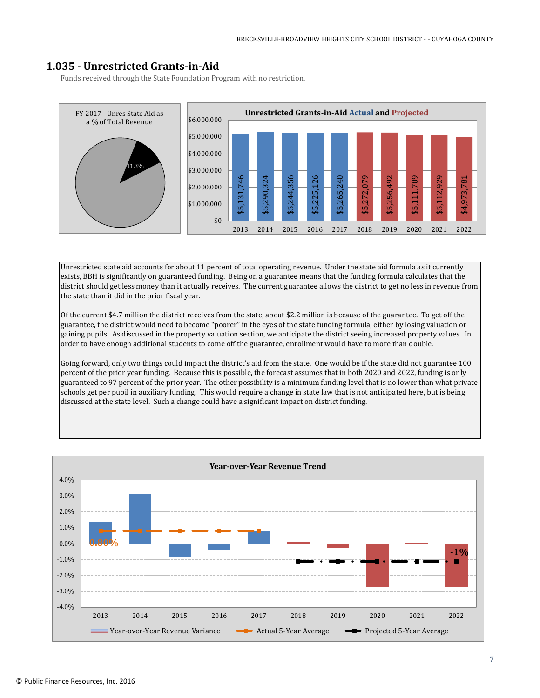# **1.035 - Unrestricted Grants-in-Aid**

Funds received through the State Foundation Program with no restriction.



Unrestricted state aid accounts for about 11 percent of total operating revenue. Under the state aid formula as it currently exists, BBH is significantly on guaranteed funding. Being on a guarantee means that the funding formula calculates that the district should get less money than it actually receives. The current guarantee allows the district to get no less in revenue from the state than it did in the prior fiscal year.

Of the current \$4.7 million the district receives from the state, about \$2.2 million is because of the guarantee. To get off the guarantee, the district would need to become "poorer" in the eyes of the state funding formula, either by losing valuation or gaining pupils. As discussed in the property valuation section, we anticipate the district seeing increased property values. In order to have enough additional students to come off the guarantee, enrollment would have to more than double.

Going forward, only two things could impact the district's aid from the state. One would be if the state did not guarantee 100 percent of the prior year funding. Because this is possible, the forecast assumes that in both 2020 and 2022, funding is only guaranteed to 97 percent of the prior year. The other possibility is a minimum funding level that is no lower than what private schools get per pupil in auxiliary funding. This would require a change in state law that is not anticipated here, but is being discussed at the state level. Such a change could have a significant impact on district funding.

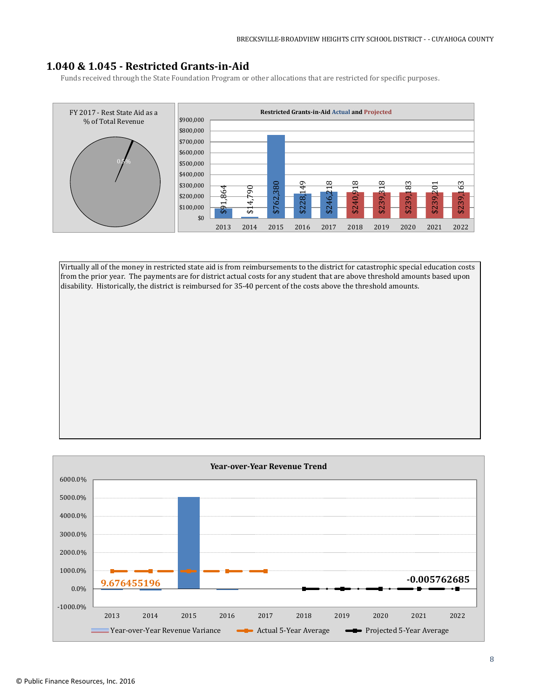# **1.040 & 1.045 - Restricted Grants-in-Aid**

Funds received through the State Foundation Program or other allocations that are restricted for specific purposes.



Virtually all of the money in restricted state aid is from reimbursements to the district for catastrophic special education costs from the prior year. The payments are for district actual costs for any student that are above threshold amounts based upon disability. Historically, the district is reimbursed for 35-40 percent of the costs above the threshold amounts.

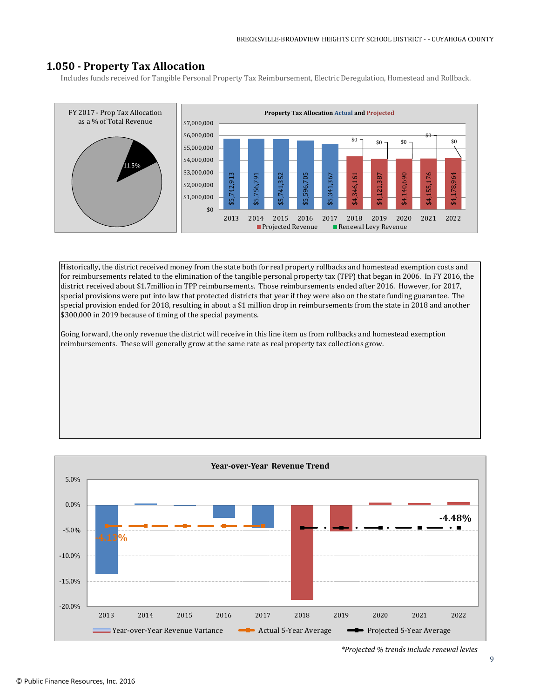# **1.050 - Property Tax Allocation**

Includes funds received for Tangible Personal Property Tax Reimbursement, Electric Deregulation, Homestead and Rollback.



Historically, the district received money from the state both for real property rollbacks and homestead exemption costs and for reimbursements related to the elimination of the tangible personal property tax (TPP) that began in 2006. In FY 2016, the district received about \$1.7million in TPP reimbursements. Those reimbursements ended after 2016. However, for 2017, special provisions were put into law that protected districts that year if they were also on the state funding guarantee. The special provision ended for 2018, resulting in about a \$1 million drop in reimbursements from the state in 2018 and another \$300,000 in 2019 because of timing of the special payments.

Going forward, the only revenue the district will receive in this line item us from rollbacks and homestead exemption reimbursements. These will generally grow at the same rate as real property tax collections grow.



*\*Projected % trends include renewal levies*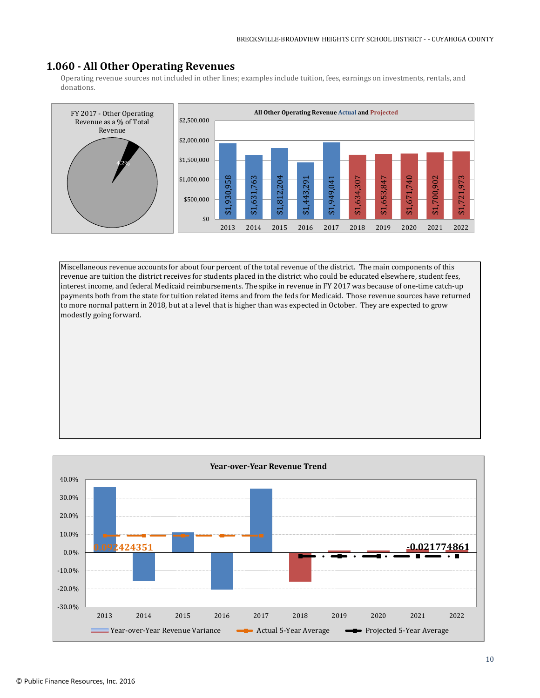# **1.060 - All Other Operating Revenues**

Operating revenue sources not included in other lines; examples include tuition, fees, earnings on investments, rentals, and donations.



Miscellaneous revenue accounts for about four percent of the total revenue of the district. The main components of this revenue are tuition the district receives for students placed in the district who could be educated elsewhere, student fees, interest income, and federal Medicaid reimbursements. The spike in revenue in FY 2017 was because of one-time catch-up payments both from the state for tuition related items and from the feds for Medicaid. Those revenue sources have returned to more normal pattern in 2018, but at a level that is higher than was expected in October. They are expected to grow modestly going forward.

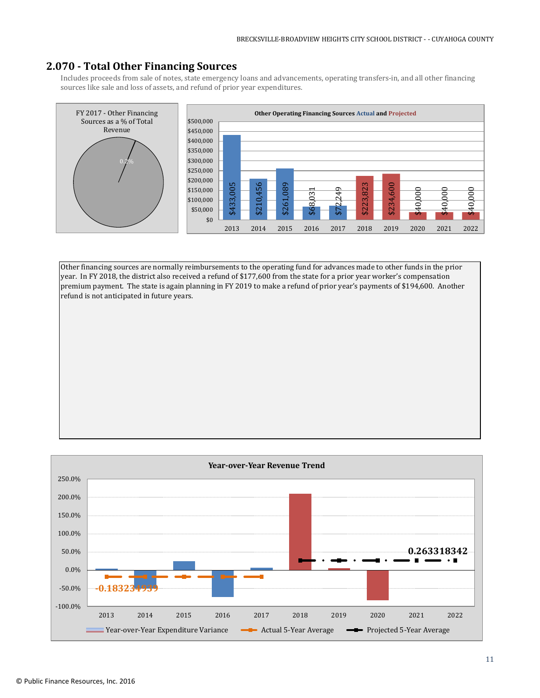# **2.070 - Total Other Financing Sources**

Includes proceeds from sale of notes, state emergency loans and advancements, operating transfers-in, and all other financing sources like sale and loss of assets, and refund of prior year expenditures.



Other financing sources are normally reimbursements to the operating fund for advances made to other funds in the prior year. In FY 2018, the district also received a refund of \$177,600 from the state for a prior year worker's compensation premium payment. The state is again planning in FY 2019 to make a refund of prior year's payments of \$194,600. Another refund is not anticipated in future years.

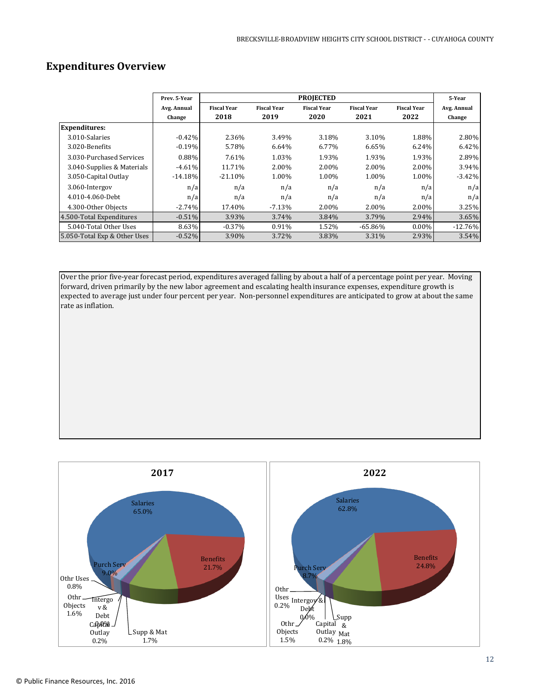# **Expenditures Overview**

|                              | Prev. 5-Year          |                            |                            | <b>PROJECTED</b>           |                            |                            | 5-Year                |
|------------------------------|-----------------------|----------------------------|----------------------------|----------------------------|----------------------------|----------------------------|-----------------------|
|                              | Avg. Annual<br>Change | <b>Fiscal Year</b><br>2018 | <b>Fiscal Year</b><br>2019 | <b>Fiscal Year</b><br>2020 | <b>Fiscal Year</b><br>2021 | <b>Fiscal Year</b><br>2022 | Avg. Annual<br>Change |
| <b>Expenditures:</b>         |                       |                            |                            |                            |                            |                            |                       |
| 3.010-Salaries               | $-0.42%$              | 2.36%                      | 3.49%                      | 3.18%                      | 3.10%                      | 1.88%                      | 2.80%                 |
| 3.020-Benefits               | $-0.19%$              | 5.78%                      | 6.64%                      | 6.77%                      | 6.65%                      | 6.24%                      | 6.42%                 |
| 3.030-Purchased Services     | 0.88%                 | 7.61%                      | 1.03%                      | 1.93%                      | 1.93%                      | 1.93%                      | 2.89%                 |
| 3.040-Supplies & Materials   | $-4.61%$              | 11.71%                     | 2.00%                      | 2.00%                      | 2.00%                      | 2.00%                      | 3.94%                 |
| 3.050-Capital Outlay         | $-14.18%$             | $-21.10%$                  | 1.00%                      | 1.00%                      | 1.00%                      | 1.00%                      | $-3.42%$              |
| 3.060-Intergov               | n/a                   | n/a                        | n/a                        | n/a                        | n/a                        | n/a                        | n/a                   |
| 4.010-4.060-Debt             | n/a                   | n/a                        | n/a                        | n/a                        | n/a                        | n/a                        | n/a                   |
| 4.300-Other Objects          | $-2.74\%$             | 17.40%                     | $-7.13\%$                  | 2.00%                      | 2.00%                      | 2.00%                      | 3.25%                 |
| 4.500-Total Expenditures     | $-0.51\%$             | 3.93%                      | $3.74\%$                   | 3.84%                      | 3.79%                      | 2.94%                      | 3.65%                 |
| 5.040-Total Other Uses       | 8.63%                 | $-0.37\%$                  | 0.91%                      | 1.52%                      | $-65.86%$                  | $0.00\%$                   | $-12.76%$             |
| 5.050-Total Exp & Other Uses | $-0.52%$              | 3.90%                      | 3.72%                      | 3.83%                      | 3.31%                      | 2.93%                      | 3.54%                 |

Over the prior five-year forecast period, expenditures averaged falling by about a half of a percentage point per year. Moving forward, driven primarily by the new labor agreement and escalating health insurance expenses, expenditure growth is expected to average just under four percent per year. Non-personnel expenditures are anticipated to grow at about the same rate as inflation.

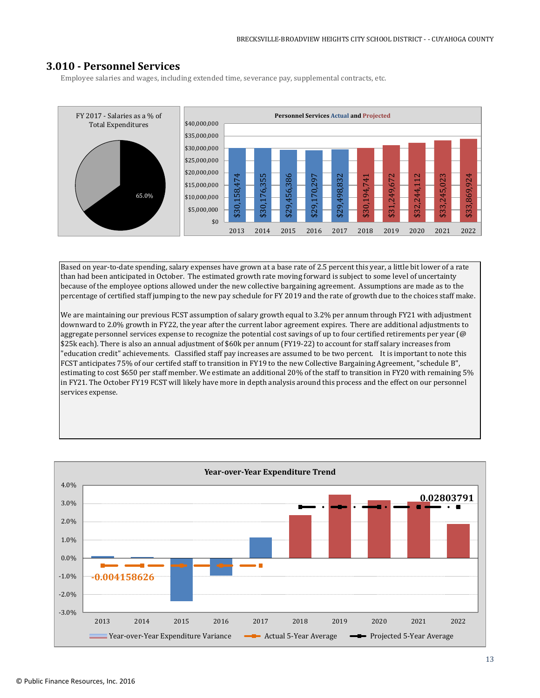# **3.010 - Personnel Services**

Employee salaries and wages, including extended time, severance pay, supplemental contracts, etc.



Based on year-to-date spending, salary expenses have grown at a base rate of 2.5 percent this year, a little bit lower of a rate than had been anticipated in October. The estimated growth rate moving forward is subject to some level of uncertainty because of the employee options allowed under the new collective bargaining agreement. Assumptions are made as to the percentage of certified staff jumping to the new pay schedule for FY 2019 and the rate of growth due to the choices staff make.

We are maintaining our previous FCST assumption of salary growth equal to 3.2% per annum through FY21 with adjustment downward to 2.0% growth in FY22, the year after the current labor agreement expires. There are additional adjustments to aggregate personnel services expense to recognize the potential cost savings of up to four certified retirements per year (@ \$25k each). There is also an annual adjustment of \$60k per annum (FY19-22) to account for staff salary increases from "education credit" achievements. Classified staff pay increases are assumed to be two percent. It is important to note this FCST anticipates 75% of our certifed staff to transition in FY19 to the new Collective Bargaining Agreement, "schedule B", estimating to cost \$650 per staff member. We estimate an additional 20% of the staff to transition in FY20 with remaining 5% in FY21. The October FY19 FCST will likely have more in depth analysis around this process and the effect on our personnel services expense.

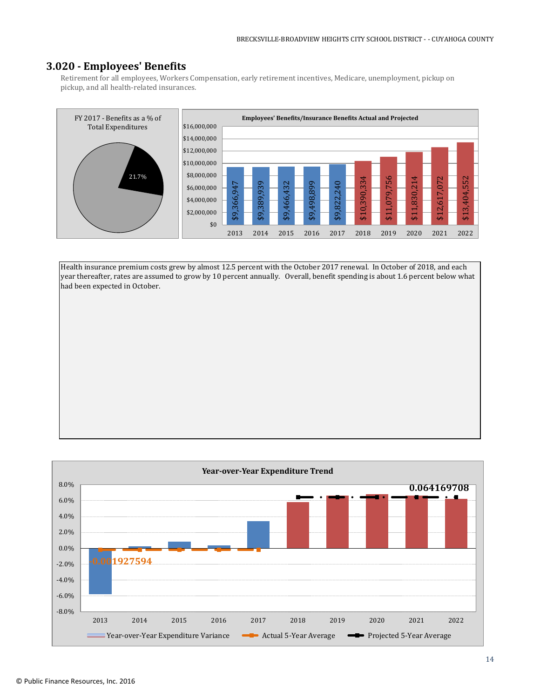# **3.020 - Employees' Benefits**

Retirement for all employees, Workers Compensation, early retirement incentives, Medicare, unemployment, pickup on pickup, and all health-related insurances.



Health insurance premium costs grew by almost 12.5 percent with the October 2017 renewal. In October of 2018, and each year thereafter, rates are assumed to grow by 10 percent annually. Overall, benefit spending is about 1.6 percent below what had been expected in October.

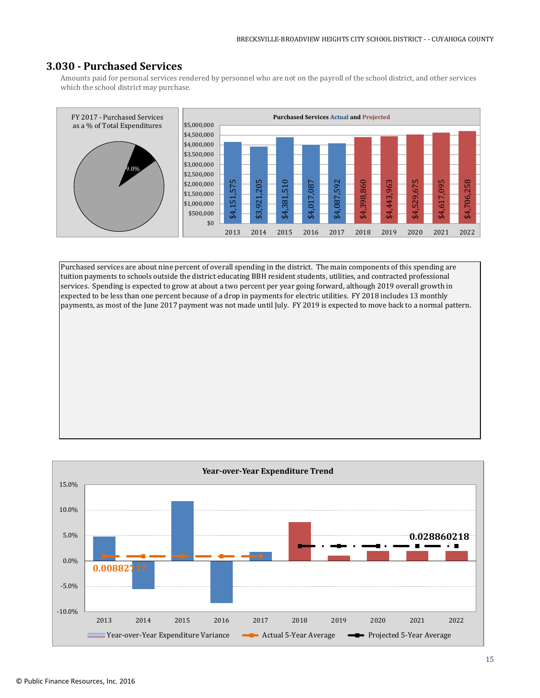# **3.030 - Purchased Services**

Amounts paid for personal services rendered by personnel who are not on the payroll of the school district, and other services which the school district may purchase.



Purchased services are about nine percent of overall spending in the district. The main components of this spending are tuition payments to schools outside the district educating BBH resident students, utilities, and contracted professional services. Spending is expected to grow at about a two percent per year going forward, although 2019 overall growth in expected to be less than one percent because of a drop in payments for electric utilities. FY 2018 includes 13 monthly payments, as most of the June 2017 payment was not made until July. FY 2019 is expected to move back to a normal pattern.

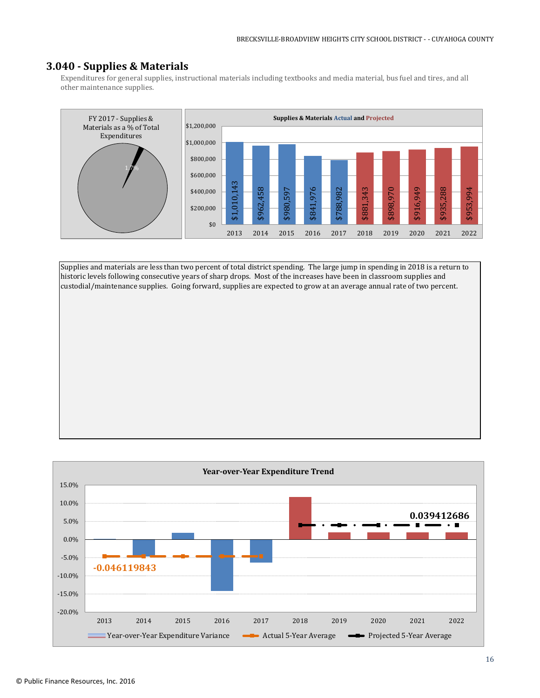# **3.040 - Supplies & Materials**

Expenditures for general supplies, instructional materials including textbooks and media material, bus fuel and tires, and all other maintenance supplies.



Supplies and materials are less than two percent of total district spending. The large jump in spending in 2018 is a return to historic levels following consecutive years of sharp drops. Most of the increases have been in classroom supplies and custodial/maintenance supplies. Going forward, supplies are expected to grow at an average annual rate of two percent.

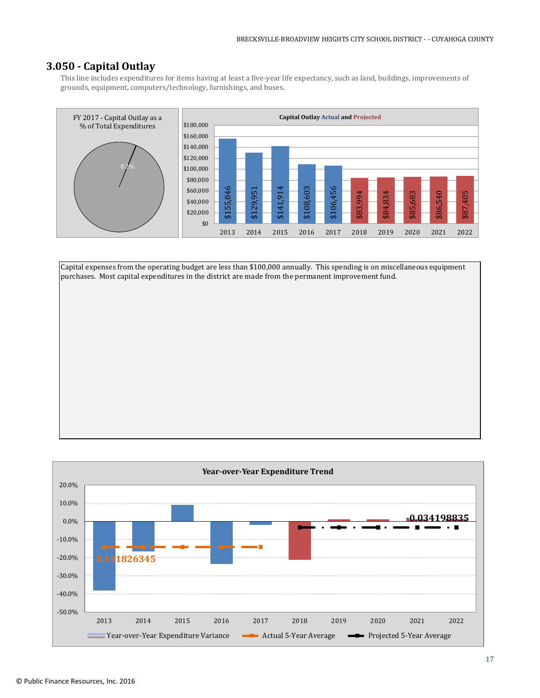# **3.050 - Capital Outlay**

This line includes expenditures for items having at least a five-year life expectancy, such as land, buildings, improvements of grounds, equipment, computers/technology, furnishings, and buses.



Capital expenses from the operating budget are less than \$100,000 annually. This spending is on miscellaneous equipment purchases. Most capital expenditures in the district are made from the permanent improvement fund.

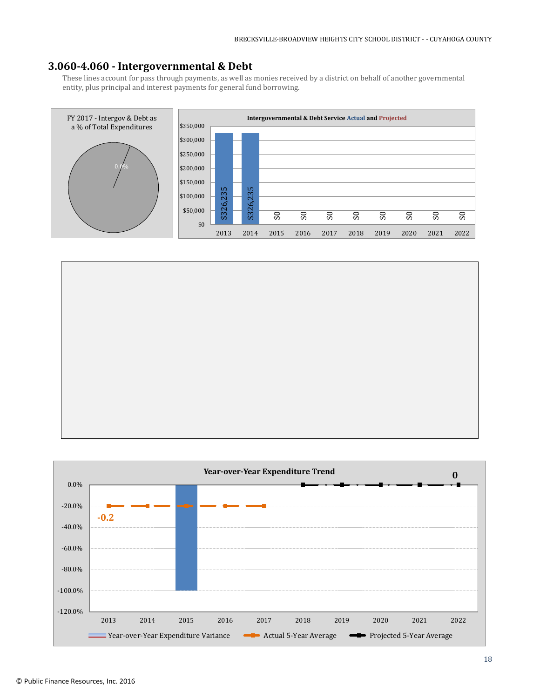# **3.060-4.060 - Intergovernmental & Debt**

These lines account for pass through payments, as well as monies received by a district on behalf of another governmental entity, plus principal and interest payments for general fund borrowing.





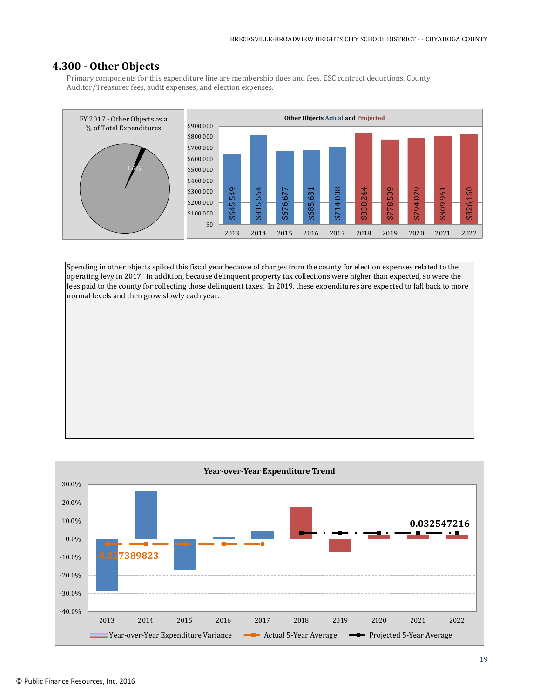# **4.300 - Other Objects**

Primary components for this expenditure line are membership dues and fees, ESC contract deductions, County Auditor/Treasurer fees, audit expenses, and election expenses.



Spending in other objects spiked this fiscal year because of charges from the county for election expenses related to the operating levy in 2017. In addition, because delinquent property tax collections were higher than expected, so were the fees paid to the county for collecting those delinquent taxes. In 2019, these expenditures are expected to fall back to more normal levels and then grow slowly each year.

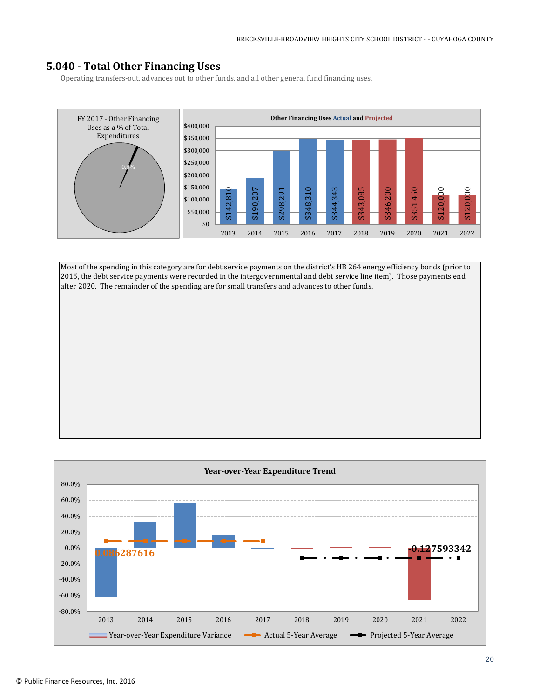# **5.040 - Total Other Financing Uses**

Operating transfers-out, advances out to other funds, and all other general fund financing uses.



Most of the spending in this category are for debt service payments on the district's HB 264 energy efficiency bonds (prior to 2015, the debt service payments were recorded in the intergovernmental and debt service line item). Those payments end after 2020. The remainder of the spending are for small transfers and advances to other funds.

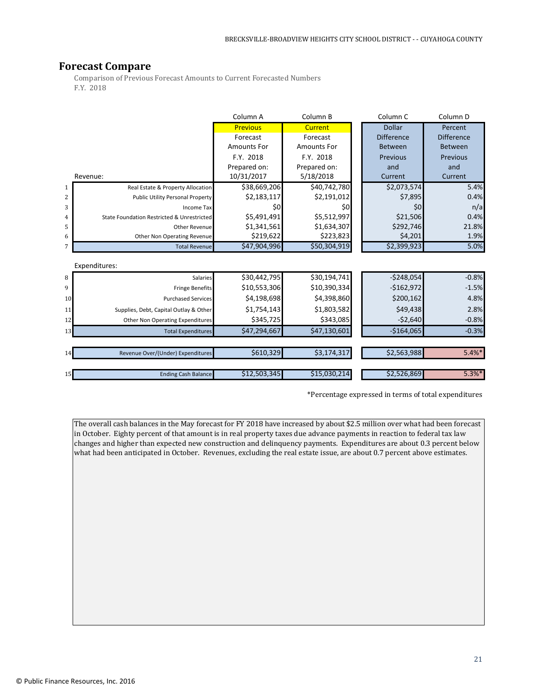# **Forecast Compare**

Comparison of Previous Forecast Amounts to Current Forecasted Numbers F.Y. 2018

|                |                                            | Column A           | Column B           | Column <sub>C</sub> | Column <sub>D</sub> |
|----------------|--------------------------------------------|--------------------|--------------------|---------------------|---------------------|
|                |                                            | <b>Previous</b>    | <b>Current</b>     | <b>Dollar</b>       | Percent             |
|                |                                            | Forecast           | Forecast           | <b>Difference</b>   | <b>Difference</b>   |
|                |                                            | <b>Amounts For</b> | <b>Amounts For</b> | <b>Between</b>      | Between             |
|                |                                            | F.Y. 2018          | F.Y. 2018          | Previous            | Previous            |
|                |                                            | Prepared on:       | Prepared on:       | and                 | and                 |
|                | Revenue:                                   | 10/31/2017         | 5/18/2018          | Current             | Current             |
| 1              | Real Estate & Property Allocation          | \$38,669,206       | \$40,742,780       | \$2,073,574         | 5.4%                |
| 2              | Public Utility Personal Property           | \$2,183,117        | \$2,191,012        | \$7,895             | 0.4%                |
| 3              | <b>Income Tax</b>                          | \$0                | \$0                | \$0                 | n/a                 |
| $\overline{4}$ | State Foundation Restricted & Unrestricted | \$5,491,491        | \$5,512,997        | \$21,506            | 0.4%                |
| 5              | <b>Other Revenue</b>                       | \$1,341,561        | \$1,634,307        | \$292,746           | 21.8%               |
| 6              | Other Non Operating Revenue                | \$219,622          | \$223,823          | \$4,201             | 1.9%                |
| 7              | <b>Total Revenue</b>                       | \$47,904,996       | \$50,304,919       | \$2,399,923         | 5.0%                |
|                | Expenditures:                              |                    |                    |                     |                     |
| 8              | <b>Salaries</b>                            | \$30,442,795       | \$30,194,741       | $-$248,054$         | $-0.8%$             |
| 9              | <b>Fringe Benefits</b>                     | \$10,553,306       | \$10,390,334       | $-$162,972$         | $-1.5%$             |
| 10             | <b>Purchased Services</b>                  | \$4,198,698        | \$4,398,860        | \$200,162           | 4.8%                |
| 11             | Supplies, Debt, Capital Outlay & Other     | \$1,754,143        | \$1,803,582        | \$49,438            | 2.8%                |
| 12             | Other Non Operating Expenditures           | \$345,725          | \$343,085          | $-52,640$           | $-0.8%$             |
| 13             | <b>Total Expenditures</b>                  | \$47,294,667       | \$47,130,601       | $-$164,065$         | $-0.3%$             |
|                |                                            |                    |                    |                     |                     |
| 14             | Revenue Over/(Under) Expenditures          | \$610,329          | \$3,174,317        | \$2,563,988         | $5.4%$ *            |
|                |                                            |                    |                    |                     |                     |
| 15             | <b>Ending Cash Balance</b>                 | \$12,503,345       | \$15,030,214       | \$2,526,869         | $5.3%$ *            |

\*Percentage expressed in terms of total expenditures

The overall cash balances in the May forecast for FY 2018 have increased by about \$2.5 million over what had been forecast in October. Eighty percent of that amount is in real property taxes due advance payments in reaction to federal tax law changes and higher than expected new construction and delinquency payments. Expenditures are about 0.3 percent below what had been anticipated in October. Revenues, excluding the real estate issue, are about 0.7 percent above estimates.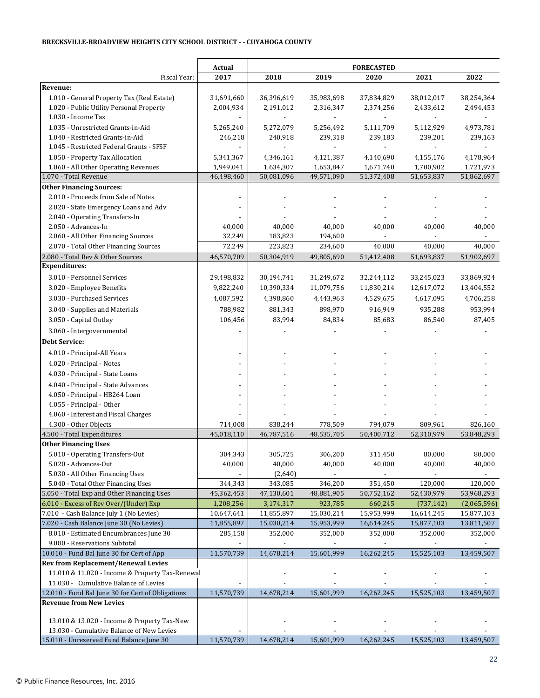#### **BRECKSVILLE-BROADVIEW HEIGHTS CITY SCHOOL DISTRICT - - CUYAHOGA COUNTY**

|                                                   | Actual                   | <b>FORECASTED</b> |                          |                          |               |             |
|---------------------------------------------------|--------------------------|-------------------|--------------------------|--------------------------|---------------|-------------|
| Fiscal Year:                                      | 2017                     | 2018              | 2019                     | 2020                     | 2021          | 2022        |
| Revenue:                                          |                          |                   |                          |                          |               |             |
| 1.010 - General Property Tax (Real Estate)        | 31,691,660               | 36,396,619        | 35,983,698               | 37,834,829               | 38,012,017    | 38,254,364  |
| 1.020 - Public Utility Personal Property          | 2,004,934                | 2,191,012         | 2,316,347                | 2,374,256                | 2,433,612     | 2,494,453   |
| 1.030 - Income Tax                                |                          |                   |                          |                          |               |             |
| 1.035 - Unrestricted Grants-in-Aid                | 5,265,240                | 5,272,079         | 5,256,492                | 5,111,709                | 5,112,929     | 4,973,781   |
| 1.040 - Restricted Grants-in-Aid                  | 246,218                  | 240,918           | 239,318                  | 239,183                  | 239,201       | 239,163     |
| 1.045 - Restricted Federal Grants - SFSF          |                          | $\overline{a}$    | $\overline{\phantom{a}}$ | $\overline{\phantom{a}}$ | $\frac{1}{2}$ |             |
| 1.050 - Property Tax Allocation                   | 5,341,367                | 4,346,161         | 4,121,387                | 4,140,690                | 4,155,176     | 4,178,964   |
| 1.060 - All Other Operating Revenues              | 1,949,041                | 1,634,307         | 1,653,847                | 1,671,740                | 1,700,902     | 1,721,973   |
| 1.070 - Total Revenue                             | 46,498,460               | 50,081,096        | 49,571,090               | 51,372,408               | 51,653,837    | 51,862,697  |
| <b>Other Financing Sources:</b>                   |                          |                   |                          |                          |               |             |
| 2.010 - Proceeds from Sale of Notes               | $\overline{\phantom{a}}$ |                   |                          |                          |               |             |
| 2.020 - State Emergency Loans and Adv             |                          |                   |                          |                          |               |             |
| 2.040 - Operating Transfers-In                    |                          |                   |                          |                          |               |             |
| 2.050 - Advances-In                               | 40,000                   | 40,000            | 40,000                   | 40,000                   | 40,000        | 40,000      |
| 2.060 - All Other Financing Sources               | 32,249                   | 183,823           | 194,600                  | $\blacksquare$           | ÷,            |             |
| 2.070 - Total Other Financing Sources             | 72,249                   | 223,823           | 234,600                  | 40,000                   | 40,000        | 40,000      |
| 2.080 - Total Rev & Other Sources                 | 46,570,709               | 50,304,919        | 49,805,690               | 51,412,408               | 51,693,837    | 51,902,697  |
| <b>Expenditures:</b>                              |                          |                   |                          |                          |               |             |
| 3.010 - Personnel Services                        | 29,498,832               | 30,194,741        | 31,249,672               | 32,244,112               | 33,245,023    | 33,869,924  |
| 3.020 - Employee Benefits                         | 9,822,240                | 10,390,334        | 11,079,756               | 11,830,214               | 12,617,072    | 13,404,552  |
| 3.030 - Purchased Services                        | 4,087,592                | 4,398,860         | 4,443,963                | 4,529,675                | 4,617,095     | 4,706,258   |
|                                                   | 788,982                  | 881,343           | 898,970                  | 916,949                  | 935,288       | 953,994     |
| 3.040 - Supplies and Materials                    |                          |                   |                          |                          |               |             |
| 3.050 - Capital Outlay                            | 106,456                  | 83,994            | 84,834                   | 85,683                   | 86,540        | 87,405      |
| 3.060 - Intergovernmental                         |                          |                   |                          |                          |               |             |
| <b>Debt Service:</b>                              |                          |                   |                          |                          |               |             |
| 4.010 - Principal-All Years                       |                          |                   |                          |                          |               |             |
| 4.020 - Principal - Notes                         |                          |                   |                          |                          |               |             |
| 4.030 - Principal - State Loans                   |                          |                   |                          |                          |               |             |
| 4.040 - Principal - State Advances                |                          |                   |                          |                          |               |             |
| 4.050 - Principal - HB264 Loan                    |                          |                   |                          |                          |               |             |
| 4.055 - Principal - Other                         |                          |                   |                          |                          |               |             |
| 4.060 - Interest and Fiscal Charges               |                          |                   |                          |                          |               |             |
| 4.300 - Other Objects                             | 714,008                  | 838,244           | 778,509                  | 794,079                  | 809,961       | 826,160     |
| 4.500 - Total Expenditures                        | 45,018,110               | 46,787,516        | 48,535,705               | 50,400,712               | 52,310,979    | 53,848,293  |
| <b>Other Financing Uses</b>                       |                          |                   |                          |                          |               |             |
| 5.010 - Operating Transfers-Out                   | 304,343                  | 305,725           | 306,200                  | 311,450                  | 80,000        | 80,000      |
| 5.020 - Advances-Out                              | 40,000                   | 40,000            | 40,000                   | 40,000                   | 40,000        | 40,000      |
| 5.030 - All Other Financing Uses                  |                          | (2,640)           |                          |                          |               |             |
| 5.040 - Total Other Financing Uses                | 344,343                  | 343,085           | 346,200                  | 351,450                  | 120,000       | 120,000     |
| 5.050 - Total Exp and Other Financing Uses        | 45,362,453               | 47,130,601        | 48,881,905               | 50,752,162               | 52,430,979    | 53,968,293  |
| 6.010 - Excess of Rev Over/(Under) Exp            | 1,208,256                | 3,174,317         | 923,785                  | 660,245                  | (737, 142)    | (2,065,596) |
| 7.010 - Cash Balance July 1 (No Levies)           | 10,647,641               | 11,855,897        | 15,030,214               | 15,953,999               | 16,614,245    | 15,877,103  |
| 7.020 - Cash Balance June 30 (No Levies)          | 11,855,897               | 15,030,214        | 15,953,999               | 16,614,245               | 15,877,103    | 13,811,507  |
| 8.010 - Estimated Encumbrances June 30            | 285,158                  | 352,000           | 352,000                  | 352,000                  | 352,000       | 352,000     |
| 9.080 - Reservations Subtotal                     |                          |                   | $\overline{\phantom{a}}$ |                          |               |             |
| 10.010 - Fund Bal June 30 for Cert of App         | 11,570,739               | 14,678,214        | 15,601,999               | 16,262,245               | 15,525,103    | 13,459,507  |
| <b>Rev from Replacement/Renewal Levies</b>        |                          |                   |                          |                          |               |             |
| 11.010 & 11.020 - Income & Property Tax-Renewal   |                          |                   |                          |                          |               |             |
| 11.030 - Cumulative Balance of Levies             |                          |                   |                          |                          |               |             |
| 12.010 - Fund Bal June 30 for Cert of Obligations | 11,570,739               | 14,678,214        | 15,601,999               | 16,262,245               | 15,525,103    | 13,459,507  |
| <b>Revenue from New Levies</b>                    |                          |                   |                          |                          |               |             |
|                                                   |                          |                   |                          |                          |               |             |
| 13.010 & 13.020 - Income & Property Tax-New       |                          |                   |                          |                          |               |             |
| 13.030 - Cumulative Balance of New Levies         |                          |                   |                          |                          |               |             |
| 15.010 - Unreserved Fund Balance June 30          | 11,570,739               | 14,678,214        | 15,601,999               | 16,262,245               | 15,525,103    | 13,459,507  |